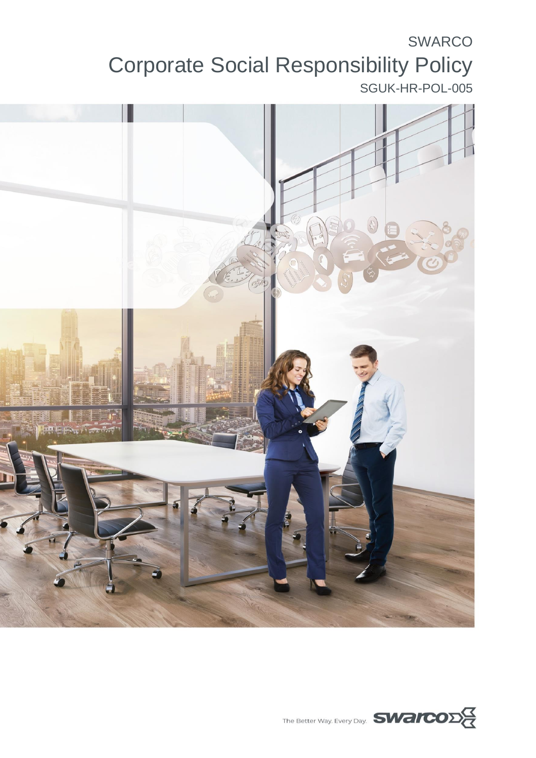# SWARCO Corporate Social Responsibility Policy SGUK-HR-POL-005



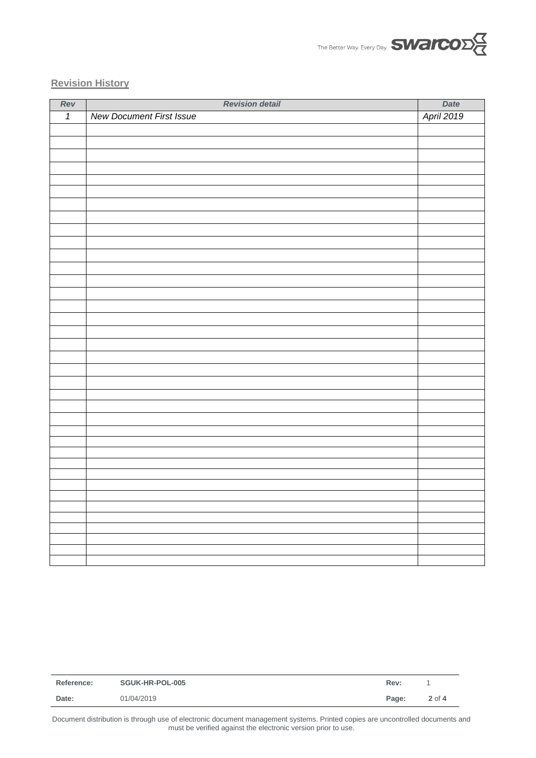

#### **Revision History**

| Rev            | <b>Revision detail</b>          | Date       |
|----------------|---------------------------------|------------|
| $\overline{1}$ | <b>New Document First Issue</b> | April 2019 |
|                |                                 |            |
|                |                                 |            |
|                |                                 |            |
|                |                                 |            |
|                |                                 |            |
|                |                                 |            |
|                |                                 |            |
|                |                                 |            |
|                |                                 |            |
|                |                                 |            |
|                |                                 |            |
|                |                                 |            |
|                |                                 |            |
|                |                                 |            |
|                |                                 |            |
|                |                                 |            |
|                |                                 |            |
|                |                                 |            |
|                |                                 |            |
|                |                                 |            |
|                |                                 |            |
|                |                                 |            |
|                |                                 |            |
|                |                                 |            |
|                |                                 |            |
|                |                                 |            |
|                |                                 |            |
|                |                                 |            |
|                |                                 |            |
|                |                                 |            |
|                |                                 |            |
|                |                                 |            |
|                |                                 |            |
|                |                                 |            |
|                |                                 |            |
|                |                                 |            |

|            | Rev:   |
|------------|--------|
| 01/04/2019 | 2 of 4 |
| Date:      | Page:  |

Document distribution is through use of electronic document management systems. Printed copies are uncontrolled documents and must be verified against the electronic version prior to use.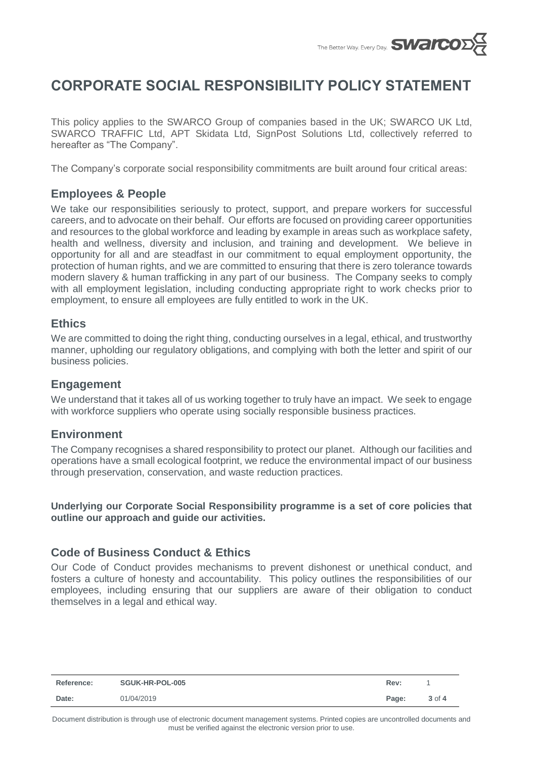

# **CORPORATE SOCIAL RESPONSIBILITY POLICY STATEMENT**

This policy applies to the SWARCO Group of companies based in the UK; SWARCO UK Ltd, SWARCO TRAFFIC Ltd, APT Skidata Ltd, SignPost Solutions Ltd, collectively referred to hereafter as "The Company".

The Company's corporate social responsibility commitments are built around four critical areas:

# **Employees & People**

We take our responsibilities seriously to protect, support, and prepare workers for successful careers, and to advocate on their behalf. Our efforts are focused on providing career opportunities and resources to the global workforce and leading by example in areas such as workplace safety, health and wellness, diversity and inclusion, and training and development. We believe in opportunity for all and are steadfast in our commitment to equal employment opportunity, the protection of human rights, and we are committed to ensuring that there is zero tolerance towards modern slavery & human trafficking in any part of our business. The Company seeks to comply with all employment legislation, including conducting appropriate right to work checks prior to employment, to ensure all employees are fully entitled to work in the UK.

### **Ethics**

We are committed to doing the right thing, conducting ourselves in a legal, ethical, and trustworthy manner, upholding our regulatory obligations, and complying with both the letter and spirit of our business policies.

#### **Engagement**

We understand that it takes all of us working together to truly have an impact. We seek to engage with workforce suppliers who operate using socially responsible business practices.

#### **Environment**

The Company recognises a shared responsibility to protect our planet. Although our facilities and operations have a small ecological footprint, we reduce the environmental impact of our business through preservation, conservation, and waste reduction practices.

**Underlying our Corporate Social Responsibility programme is a set of core policies that outline our approach and guide our activities.** 

#### **Code of Business Conduct & Ethics**

Our Code of Conduct provides mechanisms to prevent dishonest or unethical conduct, and fosters a culture of honesty and accountability. This policy outlines the responsibilities of our employees, including ensuring that our suppliers are aware of their obligation to conduct themselves in a legal and ethical way.

| <b>Reference:</b> | SGUK-HR-POL-005 | Rev:  |            |
|-------------------|-----------------|-------|------------|
| Date:             | 01/04/2019      | Page: | $3$ of $4$ |

Document distribution is through use of electronic document management systems. Printed copies are uncontrolled documents and must be verified against the electronic version prior to use.